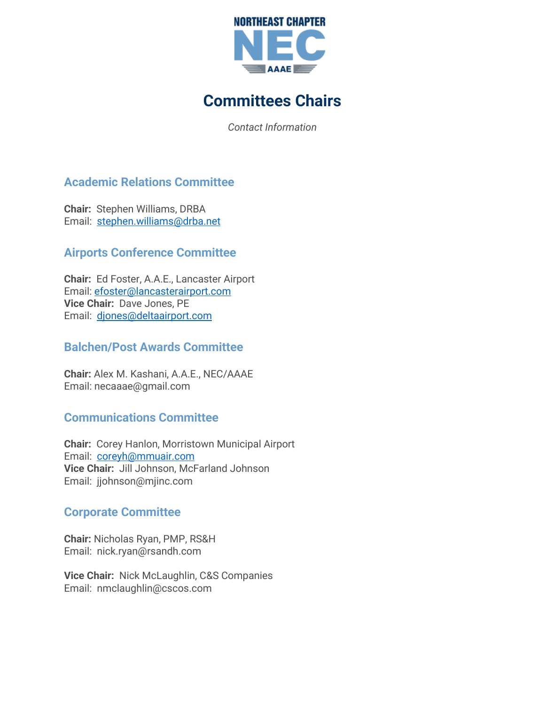

# **Committees Chairs**

*Contact Information*

# **Academic Relations Committee**

**Chair:** Stephen Williams, DRBA Email: [stephen.williams@drba.net](mailto:stephen.williams@drba.net)

## **Airports Conference Committee**

**Chair:** Ed Foster, A.A.E., Lancaster Airport Email: [efoster@lancasterairport.com](mailto:efoster@lancasterairport.com) **Vice Chair:** Dave Jones, PE Email: [djones@deltaairport.com](mailto:djones@deltaairport.com)

## **Balchen/Post Awards Committee**

**Chair:** Alex M. Kashani, A.A.E., NEC/AAAE Email: necaaae@gmail.com

## **Communications Committee**

**Chair:** Corey Hanlon, Morristown Municipal Airport Email: [coreyh@mmuair.com](mailto:coreyh@mmuair.com) **Vice Chair:** Jill Johnson, McFarland Johnson Email: jjohnson@mjinc.com

## **Corporate Committee**

**Chair:** Nicholas Ryan, PMP, RS&H Email: nick.ryan@rsandh.com

**Vice Chair:** Nick McLaughlin, C&S Companies Email: nmclaughlin@cscos.com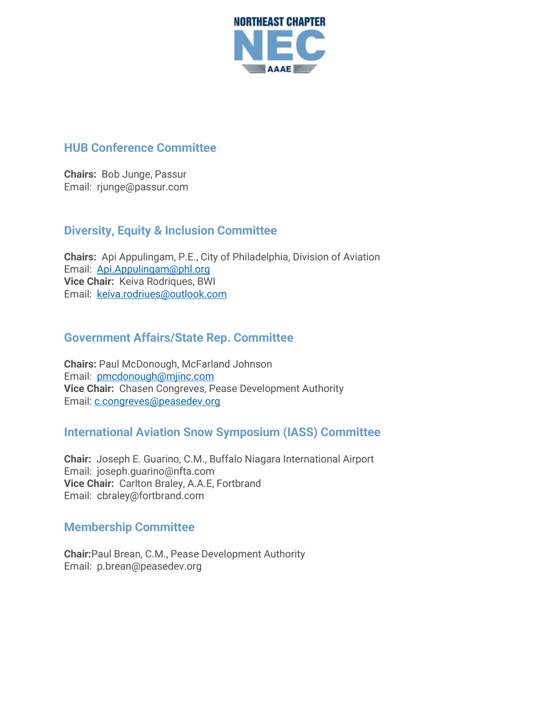

#### **HUB Conference Committee**

**Chairs:** Bob Junge, Passur Email: rjunge@passur.com

#### **Diversity, Equity & Inclusion Committee**

**Chairs:** Api Appulingam, P.E., City of Philadelphia, Division of Aviation Email: [Api.Appulingam@phl.org](mailto:Api.Appulingam@phl.org) **Vice Chair:** Keiva Rodriques, BWI Email: [keiva.rodriues@outlook.com](mailto:keiva.rodriues@outlook.com)

# **Government Affairs/State Rep. Committee**

**Chairs:** Paul McDonough, McFarland Johnson Email: [pmcdonough@mjinc.com](mailto:pmcdonough@mjinc.com) **Vice Chair:** Chasen Congreves, Pease Development Authority Email: [c.congreves@peasedev.org](mailto:c.congreves@peasedev.org)

## **International Aviation Snow Symposium (IASS) Committee**

**Chair:** Joseph E. Guarino, C.M., Buffalo Niagara International Airport Email: joseph.guarino@nfta.com **Vice Chair:** Carlton Braley, A.A.E, Fortbrand Email: cbraley@fortbrand.com

#### **Membership Committee**

**Chair:**Paul Brean, C.M., Pease Development Authority Email: p.brean@peasedev.org